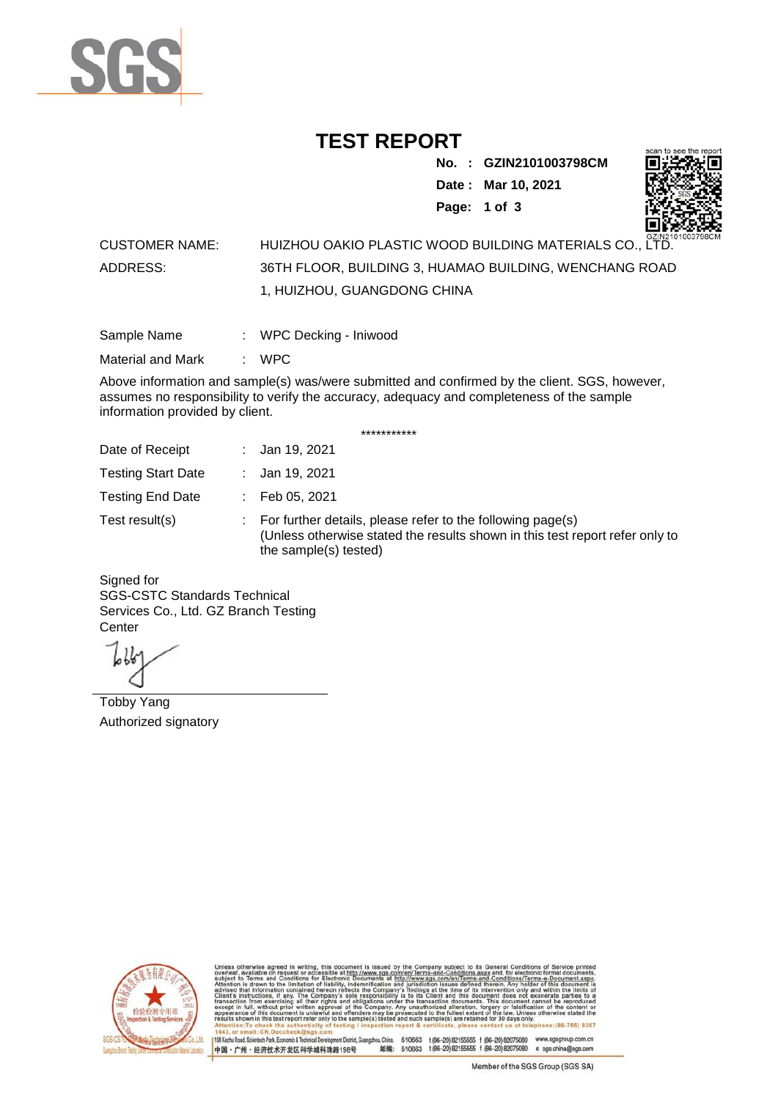

## **TEST REPORT**

**No. : GZIN2101003798CM Date : Mar 10, 2021 Page: 1 of 3** 



## CUSTOMER NAME: HUIZHOU OAKIO PLASTIC WOOD BUILDING MATERIALS CO., LTD. ADDRESS: 36TH FLOOR, BUILDING 3, HUAMAO BUILDING, WENCHANG ROAD 1, HUIZHOU, GUANGDONG CHINA

| Sample Name | WPC Decking - Iniwood |  |
|-------------|-----------------------|--|
|             |                       |  |

Material and Mark : WPC

Above information and sample(s) was/were submitted and confirmed by the client. SGS, however, assumes no responsibility to verify the accuracy, adequacy and completeness of the sample information provided by client.

\*\*\*\*\*\*\*\*\*\*\*

| Date of Receipt           | : Jan 19, 2021                                                                                                                                                        |
|---------------------------|-----------------------------------------------------------------------------------------------------------------------------------------------------------------------|
| <b>Testing Start Date</b> | : Jan 19, 2021                                                                                                                                                        |
| <b>Testing End Date</b>   | $\therefore$ Feb 05, 2021                                                                                                                                             |
| Test result(s)            | : For further details, please refer to the following page(s)<br>(Unless otherwise stated the results shown in this test report refer only to<br>the sample(s) tested) |

Signed for SGS-CSTC Standards Technical Services Co., Ltd. GZ Branch Testing **Center** 

Tobby Yang Authorized signatory



510663 t(86-20) 82155555 f (86-20) 82075080 www.sgsgroup.com.cn<br>510663 t(86-20) 82155555 f (86-20) 82075080 e sgs.china@sgs.com 198 Kezhu Road, Scientech Park, Economic & Technical Devel ngzhou, China. ant District G 邮编: 中国·广州·经济技术开发区科学城科珠路198号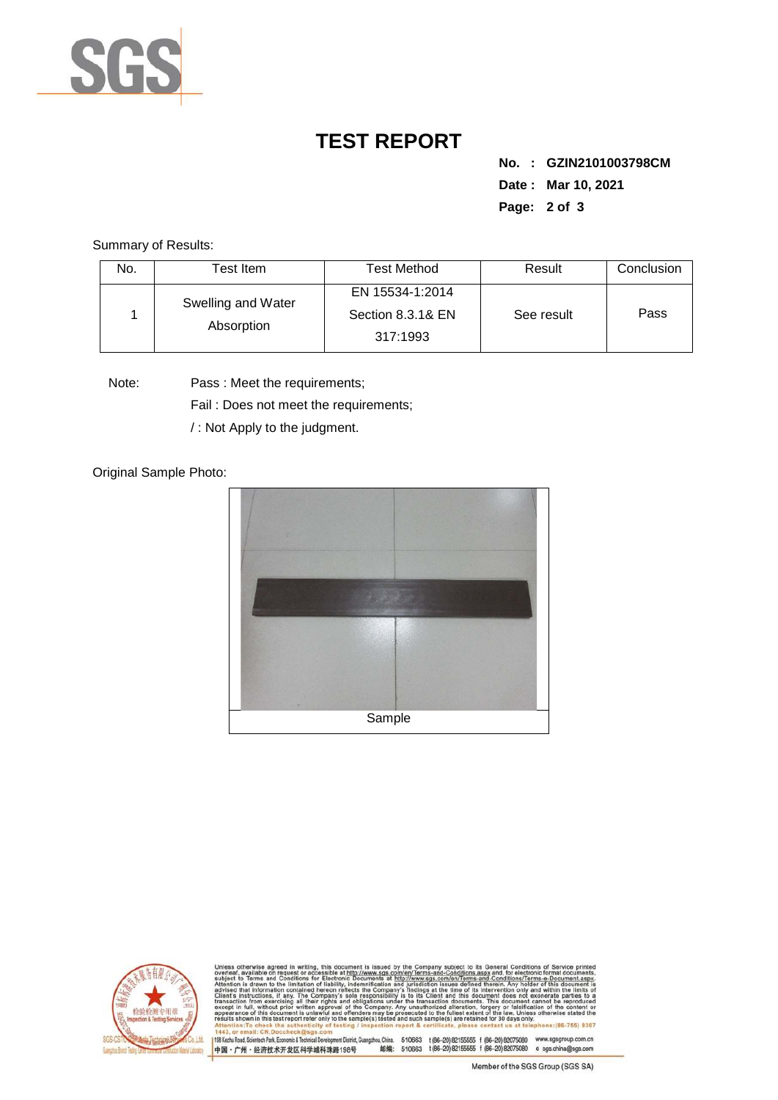

## **TEST REPORT**

**No. : GZIN2101003798CM Date : Mar 10, 2021 Page: 2 of 3** 

Summary of Results:

| No. | Test Item.         | <b>Test Method</b>            | Result     | Conclusion |
|-----|--------------------|-------------------------------|------------|------------|
|     | Swelling and Water | EN 15534-1:2014               |            |            |
|     | Absorption         | Section 8.3.1& EN<br>317:1993 | See result | Pass       |

Note: Pass : Meet the requirements;

Fail : Does not meet the requirements;

/ : Not Apply to the judgment.

Original Sample Photo:





Conditions/Terms-e-Do<br>rein: Any holder of this 8307 198 Kezhu Road, Scientech Park, Economic & Technical Develop 中国·广州·经济技术开发区科学城科珠路198号